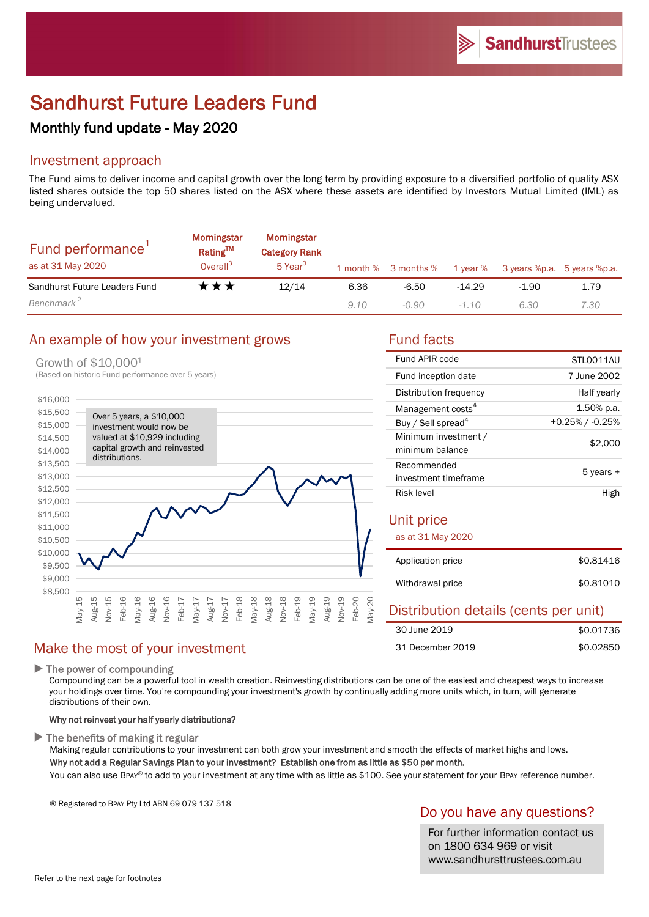# Sandhurst Future Leaders Fund

# Monthly fund update - May 2020

# Investment approach

The Fund aims to deliver income and capital growth over the long term by providing exposure to a diversified portfolio of quality ASX listed shares outside the top 50 shares listed on the ASX where these assets are identified by Investors Mutual Limited (IML) as being undervalued.

| Fund performance <sup>1</sup><br>as at 31 May 2020 | Morningstar<br>Rating™<br>Overall <sup>3</sup> | Morningstar<br><b>Category Rank</b><br>5 Year <sup>3</sup> |      | 1 month % 3 months % 1 year % |          | 3 years %p.a. 5 years %p.a. |      |
|----------------------------------------------------|------------------------------------------------|------------------------------------------------------------|------|-------------------------------|----------|-----------------------------|------|
| Sandhurst Future Leaders Fund                      | ★★★                                            | 12/14                                                      | 6.36 | $-6.50$                       | $-14.29$ | $-1.90$                     | 1.79 |
| Benchmark <sup>2</sup>                             |                                                |                                                            | 9.10 | $-0.90$                       | $-1.10$  | 6.30                        | 7.30 |

# An example of how your investment grows Fund facts

### Growth of \$10,000<sup>1</sup>



# Make the most of your investment

 $\blacktriangleright$  The power of compounding

Compounding can be a powerful tool in wealth creation. Reinvesting distributions can be one of the easiest and cheapest ways to increase your holdings over time. You're compounding your investment's growth by continually adding more units which, in turn, will generate distributions of their own.

#### Why not reinvest your half yearly distributions?

 $\blacktriangleright$  The benefits of making it regular

Making regular contributions to your investment can both grow your investment and smooth the effects of market highs and lows. Why not add a Regular Savings Plan to your investment? Establish one from as little as \$50 per month.

You can also use BPAY® to add to your investment at any time with as little as \$100. See your statement for your BPAY reference number.

® Registered to BPAY Pty Ltd ABN 69 079 137 518

# Do you have any questions?

For further information contact us on 1800 634 969 or visit www.sandhursttrustees.com.au

| Fund APIR code                          | STLO011AU       |  |
|-----------------------------------------|-----------------|--|
| Fund inception date                     | 7 June 2002     |  |
| Distribution frequency                  | Half yearly     |  |
| Management costs <sup>4</sup>           | 1.50% p.a.      |  |
| Buy / Sell spread <sup>4</sup>          | +0.25% / -0.25% |  |
| Minimum investment /<br>minimum balance | \$2,000         |  |
| Recommended<br>investment timeframe     | 5 years +       |  |
| Risk level                              | High            |  |
| Unit price<br>as at 31 May 2020         |                 |  |
| Application price                       | \$0.81416       |  |
| Withdrawal price                        | \$0.81010       |  |
| Distribution details (cents per unit)   |                 |  |

|                  | <b>Protribution actuals (conto por unit)</b> |
|------------------|----------------------------------------------|
| 30 June 2019     | \$0.01736                                    |
| 31 December 2019 | \$0.02850                                    |